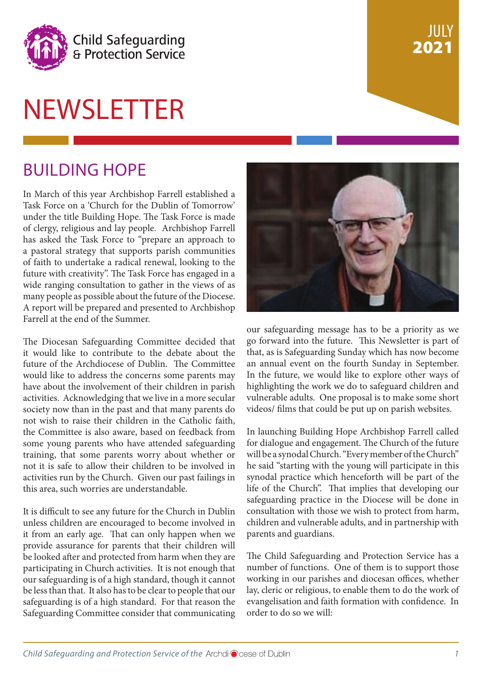

# **NEWSLETTER**

### BUILDING HOPE

In March of this year Archbishop Farrell established a Task Force on a 'Church for the Dublin of Tomorrow' under the title Building Hope. The Task Force is made of clergy, religious and lay people. Archbishop Farrell has asked the Task Force to "prepare an approach to a pastoral strategy that supports parish communities of faith to undertake a radical renewal, looking to the future with creativity". The Task Force has engaged in a wide ranging consultation to gather in the views of as many people as possible about the future of the Diocese. A report will be prepared and presented to Archbishop Farrell at the end of the Summer.

The Diocesan Safeguarding Committee decided that it would like to contribute to the debate about the future of the Archdiocese of Dublin. The Committee would like to address the concerns some parents may have about the involvement of their children in parish activities. Acknowledging that we live in a more secular society now than in the past and that many parents do not wish to raise their children in the Catholic faith, the Committee is also aware, based on feedback from some young parents who have attended safeguarding training, that some parents worry about whether or not it is safe to allow their children to be involved in activities run by the Church. Given our past failings in this area, such worries are understandable.

It is difficult to see any future for the Church in Dublin unless children are encouraged to become involved in it from an early age. That can only happen when we provide assurance for parents that their children will be looked after and protected from harm when they are participating in Church activities. It is not enough that our safeguarding is of a high standard, though it cannot be less than that. It also has to be clear to people that our safeguarding is of a high standard. For that reason the Safeguarding Committee consider that communicating



JULY

2021

our safeguarding message has to be a priority as we go forward into the future. This Newsletter is part of that, as is Safeguarding Sunday which has now become an annual event on the fourth Sunday in September. In the future, we would like to explore other ways of highlighting the work we do to safeguard children and vulnerable adults. One proposal is to make some short videos/ films that could be put up on parish websites.

In launching Building Hope Archbishop Farrell called for dialogue and engagement. The Church of the future will be a synodal Church. "Every member of the Church" he said "starting with the young will participate in this synodal practice which henceforth will be part of the life of the Church". That implies that developing our safeguarding practice in the Diocese will be done in consultation with those we wish to protect from harm, children and vulnerable adults, and in partnership with parents and guardians.

The Child Safeguarding and Protection Service has a number of functions. One of them is to support those working in our parishes and diocesan offices, whether lay, cleric or religious, to enable them to do the work of evangelisation and faith formation with confidence. In order to do so we will: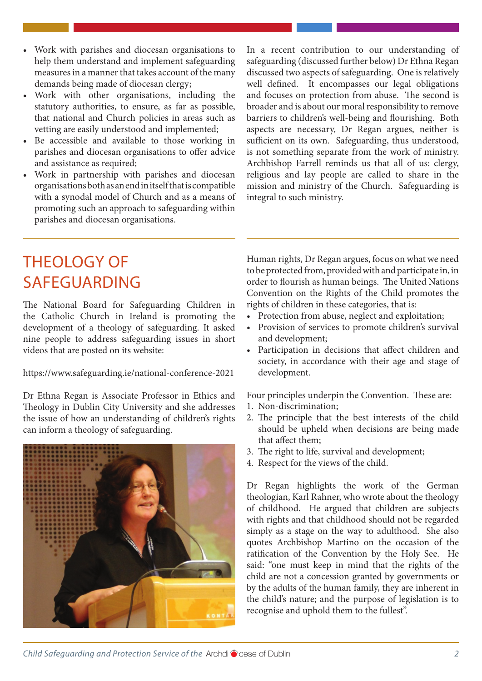- Work with parishes and diocesan organisations to help them understand and implement safeguarding measures in a manner that takes account of the many demands being made of diocesan clergy;
- Work with other organisations, including the statutory authorities, to ensure, as far as possible, that national and Church policies in areas such as vetting are easily understood and implemented;
- Be accessible and available to those working in parishes and diocesan organisations to offer advice and assistance as required;
- Work in partnership with parishes and diocesan organisations both as an end in itself that is compatible with a synodal model of Church and as a means of promoting such an approach to safeguarding within parishes and diocesan organisations.

In a recent contribution to our understanding of safeguarding (discussed further below) Dr Ethna Regan discussed two aspects of safeguarding. One is relatively well defined. It encompasses our legal obligations and focuses on protection from abuse. The second is broader and is about our moral responsibility to remove barriers to children's well-being and flourishing. Both aspects are necessary, Dr Regan argues, neither is sufficient on its own. Safeguarding, thus understood, is not something separate from the work of ministry. Archbishop Farrell reminds us that all of us: clergy, religious and lay people are called to share in the mission and ministry of the Church. Safeguarding is integral to such ministry.

### THEOLOGY OF SAFEGUARDING

The National Board for Safeguarding Children in the Catholic Church in Ireland is promoting the development of a theology of safeguarding. It asked nine people to address safeguarding issues in short videos that are posted on its website:

https://www.safeguarding.ie/national-conference-2021

Dr Ethna Regan is Associate Professor in Ethics and Theology in Dublin City University and she addresses the issue of how an understanding of children's rights can inform a theology of safeguarding.



Human rights, Dr Regan argues, focus on what we need to be protected from, provided with and participate in, in order to flourish as human beings. The United Nations Convention on the Rights of the Child promotes the rights of children in these categories, that is:

- Protection from abuse, neglect and exploitation;
- Provision of services to promote children's survival and development;
- Participation in decisions that affect children and society, in accordance with their age and stage of development.

Four principles underpin the Convention. These are:

- 1. Non-discrimination;
- 2. The principle that the best interests of the child should be upheld when decisions are being made that affect them;
- 3. The right to life, survival and development;
- 4. Respect for the views of the child.

Dr Regan highlights the work of the German theologian, Karl Rahner, who wrote about the theology of childhood. He argued that children are subjects with rights and that childhood should not be regarded simply as a stage on the way to adulthood. She also quotes Archbishop Martino on the occasion of the ratification of the Convention by the Holy See. He said: "one must keep in mind that the rights of the child are not a concession granted by governments or by the adults of the human family, they are inherent in the child's nature; and the purpose of legislation is to recognise and uphold them to the fullest".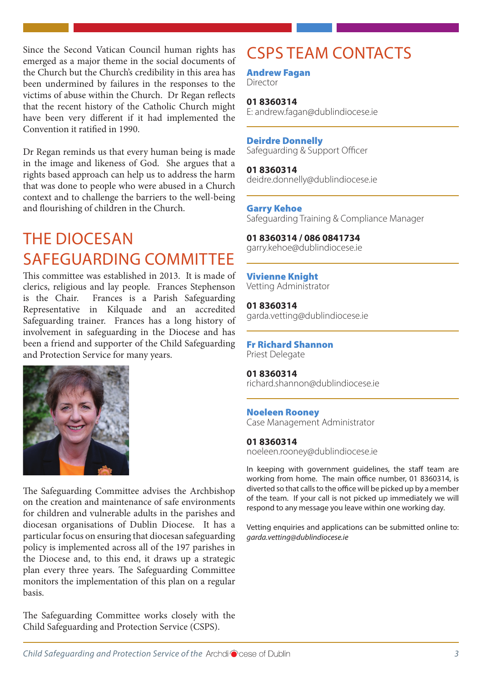Since the Second Vatican Council human rights has emerged as a major theme in the social documents of the Church but the Church's credibility in this area has been undermined by failures in the responses to the victims of abuse within the Church. Dr Regan reflects that the recent history of the Catholic Church might have been very different if it had implemented the Convention it ratified in 1990.

Dr Regan reminds us that every human being is made in the image and likeness of God. She argues that a rights based approach can help us to address the harm that was done to people who were abused in a Church context and to challenge the barriers to the well-being and flourishing of children in the Church.

### THE DIOCESAN SAFEGUARDING COMMITTEE

This committee was established in 2013. It is made of clerics, religious and lay people. Frances Stephenson is the Chair. Frances is a Parish Safeguarding Representative in Kilquade and an accredited Safeguarding trainer. Frances has a long history of involvement in safeguarding in the Diocese and has been a friend and supporter of the Child Safeguarding and Protection Service for many years.



The Safeguarding Committee advises the Archbishop on the creation and maintenance of safe environments for children and vulnerable adults in the parishes and diocesan organisations of Dublin Diocese. It has a particular focus on ensuring that diocesan safeguarding policy is implemented across all of the 197 parishes in the Diocese and, to this end, it draws up a strategic plan every three years. The Safeguarding Committee monitors the implementation of this plan on a regular basis.

The Safeguarding Committee works closely with the Child Safeguarding and Protection Service (CSPS).

## CSPS TEAM CONTACTS

Andrew Fagan

Director

**01 8360314** E: andrew.fagan@dublindiocese.ie

#### Deirdre Donnelly

Safeguarding & Support Officer

**01 8360314** deidre.donnelly@dublindiocese.ie

#### Garry Kehoe

Safeguarding Training & Compliance Manager

**01 8360314 / 086 0841734** garry.kehoe@dublindiocese.ie

Vivienne Knight Vetting Administrator

**01 8360314** garda.vetting@dublindiocese.ie

#### Fr Richard Shannon

Priest Delegate

**01 8360314** richard.shannon@dublindiocese.ie

#### Noeleen Rooney

Case Management Administrator

#### **01 8360314**

noeleen.rooney@dublindiocese.ie

In keeping with government guidelines, the staff team are working from home. The main office number, 01 8360314, is diverted so that calls to the office will be picked up by a member of the team. If your call is not picked up immediately we will respond to any message you leave within one working day.

Vetting enquiries and applications can be submitted online to: *garda.vetting@dublindiocese.ie*